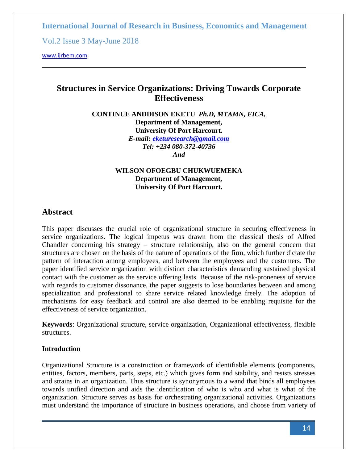Vol.2 Issue 3 May-June 2018

<www.ijrbem.com>

# **Structures in Service Organizations: Driving Towards Corporate Effectiveness**

**CONTINUE ANDDISON EKETU** *Ph.D, MTAMN, FICA,* **Department of Management, University Of Port Harcourt.** *E-mail: [eketuresearch@gmail.com](mailto:eketuresearch@gmail.com) Tel: +234 080-372-40736 And*

### **WILSON OFOEGBU CHUKWUEMEKA Department of Management, University Of Port Harcourt.**

# **Abstract**

This paper discusses the crucial role of organizational structure in securing effectiveness in service organizations. The logical impetus was drawn from the classical thesis of Alfred Chandler concerning his strategy – structure relationship, also on the general concern that structures are chosen on the basis of the nature of operations of the firm, which further dictate the pattern of interaction among employees, and between the employees and the customers. The paper identified service organization with distinct characteristics demanding sustained physical contact with the customer as the service offering lasts. Because of the risk-proneness of service with regards to customer dissonance, the paper suggests to lose boundaries between and among specialization and professional to share service related knowledge freely. The adoption of mechanisms for easy feedback and control are also deemed to be enabling requisite for the effectiveness of service organization.

**Keywords**: Organizational structure, service organization, Organizational effectiveness, flexible structures.

#### **Introduction**

Organizational Structure is a construction or framework of identifiable elements (components, entities, factors, members, parts, steps, etc.) which gives form and stability, and resists stresses and strains in an organization. Thus structure is synonymous to a wand that binds all employees towards unified direction and aids the identification of who is who and what is what of the organization. Structure serves as basis for orchestrating organizational activities. Organizations must understand the importance of structure in business operations, and choose from variety of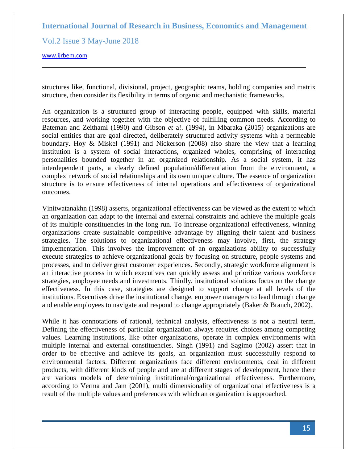Vol.2 Issue 3 May-June 2018

<www.ijrbem.com>

structures like, functional, divisional, project, geographic teams, holding companies and matrix structure, then consider its flexibility in terms of organic and mechanistic frameworks.

An organization is a structured group of interacting people, equipped with skills, material resources, and working together with the objective of fulfilling common needs. According to Bateman and Zeithaml (1990) and Gibson *et* a!. (1994), in Mbaraka (2015) organizations are social entities that are goal directed, deliberately structured activity systems with a permeable boundary. Hoy & Miskel (1991) and Nickerson (2008) also share the view that a learning institution is a system of social interactions, organized wholes, comprising of interacting personalities bounded together in an organized relationship. As a social system, it has interdependent parts, a clearly defined population/differentiation from the environment, a complex network of social relationships and its own unique culture. The essence of organization structure is to ensure effectiveness of internal operations and effectiveness of organizational outcomes.

Vinitwatanakhn (1998) asserts, organizational effectiveness can be viewed as the extent to which an organization can adapt to the internal and external constraints and achieve the multiple goals of its multiple constituencies in the long run. To increase organizational effectiveness, winning organizations create sustainable competitive advantage by aligning their talent and business strategies. The solutions to organizational effectiveness may involve, first, the strategy implementation. This involves the improvement of an organizations ability to successfully execute strategies to achieve organizational goals by focusing on structure, people systems and processes, and to deliver great customer experiences. Secondly, strategic workforce alignment is an interactive process in which executives can quickly assess and prioritize various workforce strategies, employee needs and investments. Thirdly, institutional solutions focus on the change effectiveness. In this case, strategies are designed to support change at all levels of the institutions. Executives drive the institutional change, empower managers to lead through change and enable employees to navigate and respond to change appropriately (Baker & Branch, 2002).

While it has connotations of rational, technical analysis, effectiveness is not a neutral term. Defining the effectiveness of particular organization always requires choices among competing values. Learning institutions, like other organizations, operate in complex environments with multiple internal and external constituencies. Singh (1991) and Sagimo (2002) assert that in order to be effective and achieve its goals, an organization must successfully respond to environmental factors. Different organizations face different environments, deal in different products, with different kinds of people and are at different stages of development, hence there are various models of determining institutional/organizational effectiveness. Furthermore, according to Verma and Jam (2001), multi dimensionality of organizational effectiveness is a result of the multiple values and preferences with which an organization is approached.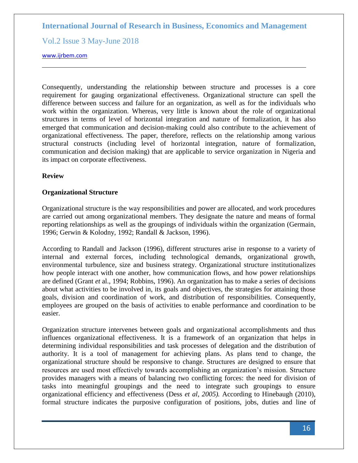Vol.2 Issue 3 May-June 2018

<www.ijrbem.com>

Consequently, understanding the relationship between structure and processes is a core requirement for gauging organizational effectiveness. Organizational structure can spell the difference between success and failure for an organization, as well as for the individuals who work within the organization. Whereas, very little is known about the role of organizational structures in terms of level of horizontal integration and nature of formalization, it has also emerged that communication and decision-making could also contribute to the achievement of organizational effectiveness. The paper, therefore, reflects on the relationship among various structural constructs (including level of horizontal integration, nature of formalization, communication and decision making) that are applicable to service organization in Nigeria and its impact on corporate effectiveness.

#### **Review**

#### **Organizational Structure**

Organizational structure is the way responsibilities and power are allocated, and work procedures are carried out among organizational members. They designate the nature and means of formal reporting relationships as well as the groupings of individuals within the organization (Germain, 1996; Gerwin & Kolodny, 1992; Randall & Jackson, 1996).

According to Randall and Jackson (1996), different structures arise in response to a variety of internal and external forces, including technological demands, organizational growth, environmental turbulence, size and business strategy. Organizational structure institutionalizes how people interact with one another, how communication flows, and how power relationships are defined (Grant *et* al., 1994; Robbins, 1996). An organization has to make a series of decisions about what activities to be involved in, its goals and objectives, the strategies for attaining those goals, division and coordination of work, and distribution of responsibilities. Consequently, employees are grouped on the basis of activities to enable performance and coordination to be easier.

Organization structure intervenes between goals and organizational accomplishments and thus influences organizational effectiveness. It is a framework of an organization that helps in determining individual responsibilities and task processes of delegation and the distribution of authority. It is a tool of management for achieving plans. As plans tend to change, the organizational structure should be responsive to change. Structures are designed to ensure that resources are used most effectively towards accomplishing an organization's mission. Structure provides managers with a means of balancing two conflicting forces: the need for division of tasks into meaningful groupings and the need to integrate such groupings to ensure organizational efficiency and effectiveness (Dess *et al*, *2005).* According to Hinebaugh (2010), formal structure indicates the purposive configuration of positions, jobs, duties and line of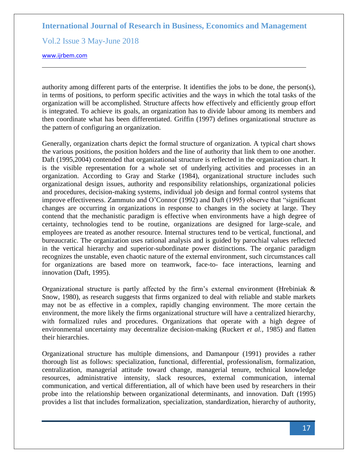Vol.2 Issue 3 May-June 2018

<www.ijrbem.com>

authority among different parts of the enterprise. It identifies the jobs to be done, the person(s), in terms of positions, to perform specific activities and the ways in which the total tasks of the organization will be accomplished. Structure affects how effectively and efficiently group effort is integrated. To achieve its goals, an organization has to divide labour among its members and then coordinate what has been differentiated. Griffin (1997) defines organizational structure as the pattern of configuring an organization.

Generally, organization charts depict the formal structure of organization. A typical chart shows the various positions, the position holders and the line of authority that link them to one another. Daft (1995,2004) contended that organizational structure is reflected in the organization chart. It is the visible representation for a whole set of underlying activities and processes in an organization. According to Gray and Starke (1984), organizational structure includes such organizational design issues, authority and responsibility relationships, organizational policies and procedures, decision-making systems, individual job design and formal control systems that improve effectiveness. Zammuto and O'Connor  $(1992)$  and Daft  $(1995)$  observe that "significant" changes are occurring in organizations in response to changes in the society at large. They contend that the mechanistic paradigm is effective when environments have a high degree of certainty, technologies tend to be routine, organizations are designed for large-scale, and employees are treated as another resource. Internal structures tend to be vertical, functional, and bureaucratic. The organization uses rational analysis and is guided by parochial values reflected in the vertical hierarchy and superior-subordinate power distinctions. The organic paradigm recognizes the unstable, even chaotic nature of the external environment, such circumstances call for organizations are based more on teamwork, face-to- face interactions, learning and innovation (Daft, 1995).

Organizational structure is partly affected by the firm's external environment (Hrebiniak & Snow, 1980), as research suggests that firms organized to deal with reliable and stable markets may not be as effective in a complex, rapidly changing environment. The more certain the environment, the more likely the firms organizational structure will have a centralized hierarchy, with formalized rules and procedures. Organizations that operate with a high degree of environmental uncertainty may decentralize decision-making (Ruckert *et al.,* 1985) and flatten their hierarchies.

Organizational structure has multiple dimensions, and Damanpour (1991) provides a rather thorough list as follows: specialization, functional, differential, professionalism, formalization, centralization, managerial attitude toward change, managerial tenure, technical knowledge resources, administrative intensity, slack resources, external communication, internal communication, and vertical differentiation, all of which have been used by researchers in their probe into the relationship between organizational determinants, and innovation. Daft (1995) provides a list that includes formalization, specialization, standardization, hierarchy of authority,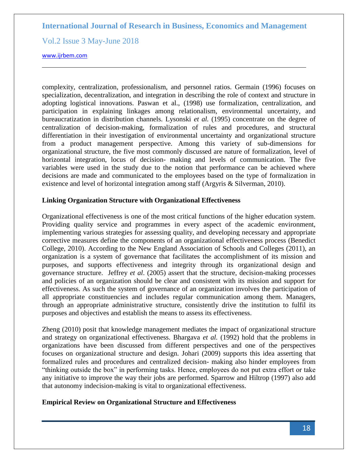Vol.2 Issue 3 May-June 2018

<www.ijrbem.com>

complexity, centralization, professionalism, and personnel ratios. Germain (1996) focuses on specialization, decentralization, and integration in describing the role of context and structure in adopting logistical innovations. Paswan et al., (1998) use formalization, centralization, and participation in explaining linkages among relationalism, environmental uncertainty, and bureaucratization in distribution channels. Lysonski *et al.* (1995) concentrate on the degree of centralization of decision-making, formalization of rules and procedures, and structural differentiation in their investigation of environmental uncertainty and organizational structure from a product management perspective. Among this variety of sub-dimensions for organizational structure, the five most commonly discussed are nature of formalization, level of horizontal integration, locus of decision- making and levels of communication. The five variables were used in the study due to the notion that performance can be achieved where decisions are made and communicated to the employees based on the type of formalization in existence and level of horizontal integration among staff (Argyris & Silverman, 2010).

#### **Linking Organization Structure with Organizational Effectiveness**

Organizational effectiveness is one of the most critical functions of the higher education system. Providing quality service and programmes in every aspect of the academic environment, implementing various strategies for assessing quality, and developing necessary and appropriate corrective measures define the components of an organizational effectiveness process (Benedict College, 2010). According to the New England Association of Schools and Colleges (2011), an organization is a system of governance that facilitates the accomplishment of its mission and purposes, and supports effectiveness and integrity through its organizational design and governance structure. Jeffrey *et al*. (2005) assert that the structure, decision-making processes and policies of an organization should be clear and consistent with its mission and support for effectiveness. As such the system of governance of an organization involves the participation of all appropriate constituencies and includes regular communication among them. Managers, through an appropriate administrative structure, consistently drive the institution to fulfil its purposes and objectives and establish the means to assess its effectiveness.

Zheng (2010) posit that knowledge management mediates the impact of organizational structure and strategy on organizational effectiveness. Bhargava *et al.* (1992) hold that the problems in organizations have been discussed from different perspectives and one of the perspectives focuses on organizational structure and design. Johari (2009) supports this idea asserting that formalized rules and procedures and centralized decision- making also hinder employees from "thinking outside the box" in performing tasks. Hence, employees do not put extra effort or take any initiative to improve the way their jobs are performed. Sparrow and Hiltrop (1997) also add that autonomy indecision-making is vital to organizational effectiveness.

#### **Empirical Review on Organizational Structure and Effectiveness**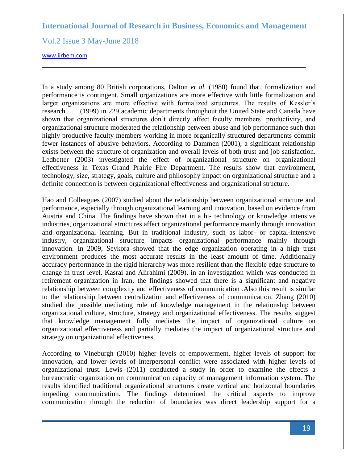Vol.2 Issue 3 May-June 2018

<www.ijrbem.com>

In a study among 80 British corporations, Dalton *et al.* (1980) found that, formalization and performance is contingent. Small organizations are more effective with little formalization and larger organizations are more effective with formalized structures. The results of Kessler's research (1999) in 229 academic departments throughout the United State and Canada have shown that organizational structures don't directly affect faculty members' productivity, and organizational structure moderated the relationship between abuse and job performance such that highly productive faculty members working in more organically structured departments commit fewer instances of abusive behaviors. According to Dammen (2001), a significant relationship exists between the structure of organization and overall levels of both trust and job satisfaction. Ledbetter (2003) investigated the effect of organizational structure on organizational effectiveness in Texas Grand Prairie Fire Department. The results show that environment, technology, size, strategy, goals, culture and philosophy impact on organizational structure and a definite connection is between organizational effectiveness and organizational structure.

Hao and Colleagues (2007) studied about the relationship between organizational structure and performance, especially through organizational learning and innovation, based on evidence from Austria and China. The findings have shown that in a hi- technology or knowledge intensive industries, organizational structures affect organizational performance mainly through innovation and organizational learning. But in traditional industry, such as labor- or capital-intensive industry, organizational structure impacts organizational performance mainly through innovation. In 2009, Seykora showed that the edge organization operating in a high trust environment produces the most accurate results in the least amount of time. Additionally accuracy performance in the rigid hierarchy was more resilient than the flexible edge structure to change in trust level. Kasrai and Alirahimi (2009), in an investigation which was conducted in retirement organization in Iran, the findings showed that there is a significant and negative relationship between complexity and effectiveness of communication .Also this result is similar to the relationship between centralization and effectiveness of communication. Zhang (2010) studied the possible mediating role of knowledge management in the relationship between organizational culture, structure, strategy and organizational effectiveness. The results suggest that knowledge management fully mediates the impact of organizational culture on organizational effectiveness and partially mediates the impact of organizational structure and strategy on organizational effectiveness.

According to Vineburgh (2010) higher levels of empowerment, higher levels of support for innovation, and lower levels of interpersonal conflict were associated with higher levels of organizational trust. Lewis (2011) conducted a study in order to examine the effects a bureaucratic organization on communication capacity of management information system. The results identified traditional organizational structures create vertical and horizontal boundaries impeding communication. The findings determined the critical aspects to improve communication through the reduction of boundaries was direct leadership support for a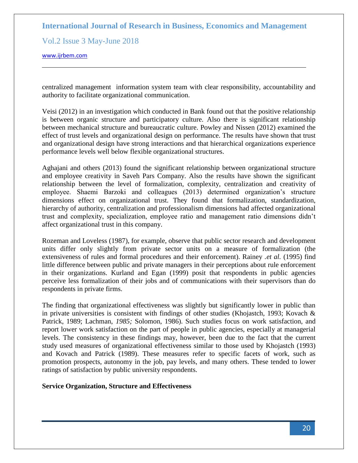Vol.2 Issue 3 May-June 2018

<www.ijrbem.com>

centralized management information system team with clear responsibility, accountability and authority to facilitate organizational communication.

Veisi (2012) in an investigation which conducted in Bank found out that the positive relationship is between organic structure and participatory culture. Also there is significant relationship between mechanical structure and bureaucratic culture. Powley and Nissen (2012) examined the effect of trust levels and organizational design on performance. The results have shown that trust and organizational design have strong interactions and that hierarchical organizations experience performance levels well below flexible organizational structures.

Aghajani and others (2013) found the significant relationship between organizational structure and employee creativity in Saveh Pars Company. Also the results have shown the significant relationship between the level of formalization, complexity, centralization and creativity of employee. Shaemi Barzoki and colleagues (2013) determined organization's structure dimensions effect on organizational trust. They found that formalization, standardization, hierarchy of authority, centralization and professionalism dimensions had affected organizational trust and complexity, specialization, employee ratio and management ratio dimensions didn't affect organizational trust in this company.

Rozeman and Loveless (1987), for example, observe that public sector research and development units differ only slightly from private sector units on a measure of formalization (the extensiveness of rules and formal procedures and their enforcement). Rainey *.et al.* (1995) find little difference between public and private managers in their perceptions about rule enforcement in their organizations. Kurland and Egan (1999) posit that respondents in public agencies perceive less formalization of their jobs and of communications with their supervisors than do respondents in private firms.

The finding that organizational effectiveness was slightly but significantly lower in public than in private universities is consistent with findings of other studies (Khojastch, 1993; Kovach  $\&$ Patrick, 1989; Lachman, *1985;* Solomon, 1986). Such studies focus on work satisfaction, and report lower work satisfaction on the part of people in public agencies, especially at managerial levels. The consistency in these findings may, however, been due to the fact that the current study used measures of organizational effectiveness similar to those used by Khojastch (1993) and Kovach and Patrick (1989). These measures refer to specific facets of work, such as promotion prospects, autonomy in the job, pay levels, and many others. These tended to lower ratings of satisfaction by public university respondents.

#### **Service Organization, Structure and Effectiveness**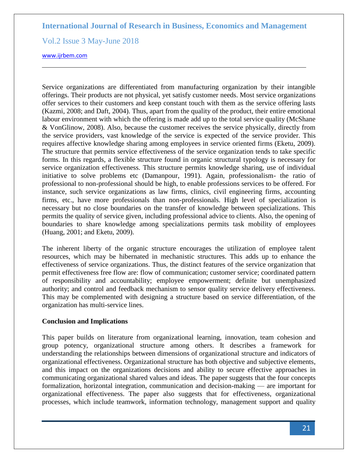Vol.2 Issue 3 May-June 2018

<www.ijrbem.com>

Service organizations are differentiated from manufacturing organization by their intangible offerings. Their products are not physical, yet satisfy customer needs. Most service organizations offer services to their customers and keep constant touch with them as the service offering lasts (Kazmi, 2008; and Daft, 2004). Thus, apart from the quality of the product, their entire emotional labour environment with which the offering is made add up to the total service quality (McShane & VonGlinow, 2008). Also, because the customer receives the service physically, directly from the service providers, vast knowledge of the service is expected of the service provider. This requires affective knowledge sharing among employees in service oriented firms (Eketu, 2009). The structure that permits service effectiveness of the service organization tends to take specific forms. In this regards, a flexible structure found in organic structural typology is necessary for service organization effectiveness. This structure permits knowledge sharing, use of individual initiative to solve problems etc (Damanpour, 1991). Again, professionalism- the ratio of professional to non-professional should be high, to enable professions services to be offered. For instance, such service organizations as law firms, clinics, civil engineering firms, accounting firms, etc., have more professionals than non-professionals. High level of specialization is necessary but no close boundaries on the transfer of knowledge between specializations. This permits the quality of service given, including professional advice to clients. Also, the opening of boundaries to share knowledge among specializations permits task mobility of employees (Huang, 2001; and Eketu, 2009).

The inherent liberty of the organic structure encourages the utilization of employee talent resources, which may be hibernated in mechanistic structures. This adds up to enhance the effectiveness of service organizations. Thus, the distinct features of the service organization that permit effectiveness free flow are: flow of communication; customer service; coordinated pattern of responsibility and accountability; employee empowerment; definite but unemphasized authority; and control and feedback mechanism to sensor quality service delivery effectiveness. This may be complemented with designing a structure based on service differentiation, of the organization has multi-service lines.

#### **Conclusion and Implications**

This paper builds on literature from organizational learning, innovation, team cohesion and group potency, organizational structure among others. It describes a framework for understanding the relationships between dimensions of organizational structure and indicators of organizational effectiveness. Organizational structure has both objective and subjective elements, and this impact on the organizations decisions and ability to secure effective approaches in communicating organizational shared values and ideas. The paper suggests that the four concepts formalization, horizontal integration, communication and decision-making — are important for organizational effectiveness. The paper also suggests that for effectiveness, organizational processes, which include teamwork, information technology, management support and quality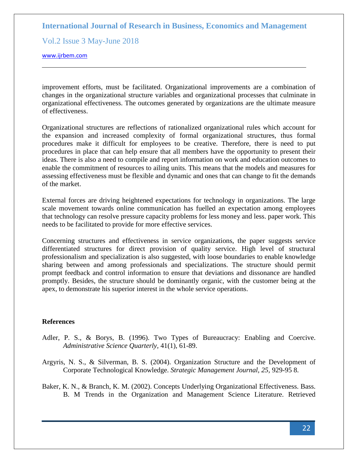Vol.2 Issue 3 May-June 2018

<www.ijrbem.com>

improvement efforts, must be facilitated. Organizational improvements are a combination of changes in the organizational structure variables and organizational processes that culminate in organizational effectiveness. The outcomes generated by organizations are the ultimate measure of effectiveness.

Organizational structures are reflections of rationalized organizational rules which account for the expansion and increased complexity of formal organizational structures, thus formal procedures make it difficult for employees to be creative. Therefore, there is need to put procedures in place that can help ensure that all members have the opportunity to present their ideas. There is also a need to compile and report information on work and education outcomes to enable the commitment of resources to ailing units. This means that the models and measures for assessing effectiveness must be flexible and dynamic and ones that can change to fit the demands of the market.

External forces are driving heightened expectations for technology in organizations. The large scale movement towards online communication has fuelled an expectation among employees that technology can resolve pressure capacity problems for less money and less. paper work. This needs to be facilitated to provide for more effective services.

Concerning structures and effectiveness in service organizations, the paper suggests service differentiated structures for direct provision of quality service. High level of structural professionalism and specialization is also suggested, with loose boundaries to enable knowledge sharing between and among professionals and specializations. The structure should permit prompt feedback and control information to ensure that deviations and dissonance are handled promptly. Besides, the structure should be dominantly organic, with the customer being at the apex, to demonstrate his superior interest in the whole service operations.

### **References**

- Adler, P. S., & Borys, B. (1996). Two Types of Bureaucracy: Enabling and Coercive. *Administrative Science Quarterly,* 41(1), 61-89.
- Argyris, N. S., & Silverman, B. S. (2004). Organization Structure and the Development of Corporate Technological Knowledge. *Strategic Management Journal, 25,* 929-95 8.
- Baker, K. N., & Branch, K. M. (2002). Concepts Underlying Organizational Effectiveness. Bass. B. M Trends in the Organization and Management Science Literature. Retrieved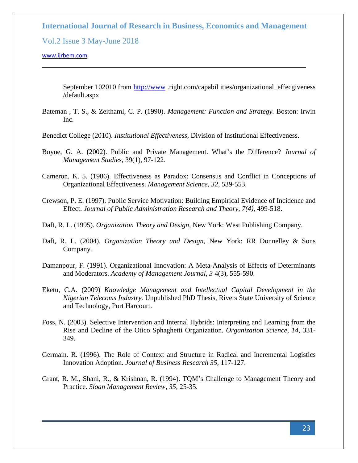Vol.2 Issue 3 May-June 2018

#### <www.ijrbem.com>

September 102010 from [http://www](http://www/) .right.com/capabil ities/organizational\_effecgiveness /default.aspx

Bateman , T. S., & Zeithaml, C. P. (1990). *Management: Function and Strategy.* Boston: Irwin Inc.

Benedict College (2010). *Institutional Effectiveness,* Division of Institutional Effectiveness.

- Boyne, G. A. (2002). Public and Private Management. What's the Difference? *Journal of Management Studies,* 39(1), 97-122.
- Cameron. K. 5. (1986). Effectiveness as Paradox: Consensus and Conflict in Conceptions of Organizational Effectiveness. *Management Science, 32,* 539-553.
- Crewson, P. E. (1997). Public Service Motivation: Building Empirical Evidence of Incidence and Effect. *Journal of Public Administration Research and Theory, 7(4),* 499-518.
- Daft, R. L. (1995). *Organization Theory and Design,* New York: West Publishing Company.
- Daft, R. L. (2004). *Organization Theory and Design,* New York: RR Donnelley & Sons Company.
- Damanpour, F. (1991). Organizational Innovation: A Meta-Analysis of Effects of Determinants and Moderators. *Academy of Management Journal, 3* 4(3), 555-590.
- Eketu, C.A. (2009) *Knowledge Management and Intellectual Capital Development in the Nigerian Telecoms Industry.* Unpublished PhD Thesis, Rivers State University of Science and Technology, Port Harcourt.
- Foss, N. (2003). Selective Intervention and Internal Hybrids: Interpreting and Learning from the Rise and Decline of the Otico Sphaghetti Organization. *Organization Science, 14,* 331- 349.
- Germain. R. (1996). The Role of Context and Structure in Radical and Incremental Logistics Innovation Adoption. *Journal of Business Research 35,* 117-127.
- Grant, R. M., Shani, R., & Krishnan, R. (1994). TQM's Challenge to Management Theory and Practice. *Sloan Management Review, 35,* 25-35.